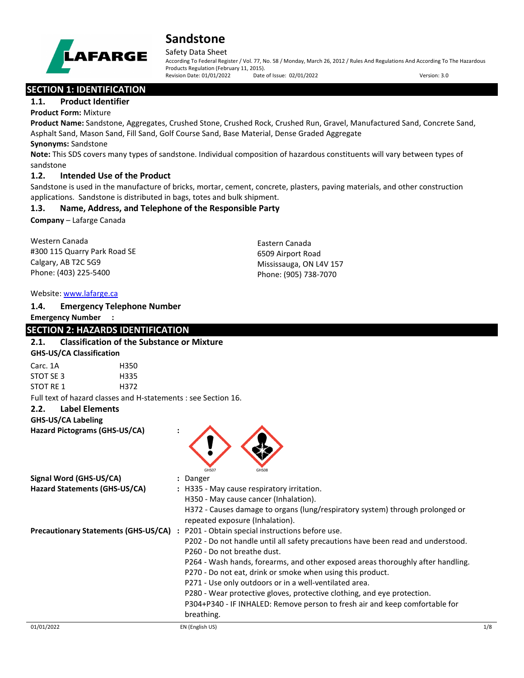

#### Safety Data Sheet

According To Federal Register / Vol. 77, No. 58 / Monday, March 26, 2012 / Rules And Regulations And According To The Hazardous Products Regulation (February 11, 2015).<br>Revision Date: 01/01/2022 Date of Issue: 02/01/2022 Revision Date: 01/01/2022 Date of Issue: 02/01/2022 Version: 3.0

**SECTION 1: IDENTIFICATION** 

## **1.1. Product Identifier**

## **Product Form:** Mixture

**Product Name:** Sandstone, Aggregates, Crushed Stone, Crushed Rock, Crushed Run, Gravel, Manufactured Sand, Concrete Sand, Asphalt Sand, Mason Sand, Fill Sand, Golf Course Sand, Base Material, Dense Graded Aggregate

### **Synonyms:** Sandstone

**Note:** This SDS covers many types of sandstone. Individual composition of hazardous constituents will vary between types of sandstone

## **1.2. Intended Use of the Product**

Sandstone is used in the manufacture of bricks, mortar, cement, concrete, plasters, paving materials, and other construction applications. Sandstone is distributed in bags, totes and bulk shipment.

## **1.3. Name, Address, and Telephone of the Responsible Party**

**Company** – Lafarge Canada

Western Canada #300 115 Quarry Park Road SE Calgary, AB T2C 5G9 Phone: (403) 225-5400

Eastern Canada 6509 Airport Road Mississauga, ON L4V 157 Phone: (905) 738-7070

#### Website: [www.lafarge.ca](file://leon/customers/CUSTOMERS/Lafarge_North_America_Inc/Projects/Authoring_20180316/Batch_Folder/B_Draft_SDS/MS_Word_Files/www.lafarge.ca)

#### **1.4. Emergency Telephone Number**

#### **Emergency Number :**

## **SECTION 2: HAZARDS IDENTIFICATION**

## **2.1. Classification of the Substance or Mixture**

**GHS-US/CA Classification**

| Carc. 1A  | H350 |
|-----------|------|
| STOT SE 3 | H335 |
| STOT RE 1 | H372 |

Full text of hazard classes and H-statements : see Section 16.

## **2.2. Label Elements**

**GHS-US/CA Labeling**

**Hazard Pictograms (GHS-US/CA) :**



| Signal Word (GHS-US/CA)<br>Hazard Statements (GHS-US/CA) | : Danger<br>: H335 - May cause respiratory irritation.<br>H350 - May cause cancer (Inhalation).<br>H372 - Causes damage to organs (lung/respiratory system) through prolonged or<br>repeated exposure (Inhalation).                                                                                                                                                                                                                                                                                                                                                |
|----------------------------------------------------------|--------------------------------------------------------------------------------------------------------------------------------------------------------------------------------------------------------------------------------------------------------------------------------------------------------------------------------------------------------------------------------------------------------------------------------------------------------------------------------------------------------------------------------------------------------------------|
| <b>Precautionary Statements (GHS-US/CA)</b>              | : P201 - Obtain special instructions before use.<br>P202 - Do not handle until all safety precautions have been read and understood.<br>P <sub>260</sub> - Do not breathe dust.<br>P264 - Wash hands, forearms, and other exposed areas thoroughly after handling.<br>P270 - Do not eat, drink or smoke when using this product.<br>P271 - Use only outdoors or in a well-ventilated area.<br>P280 - Wear protective gloves, protective clothing, and eye protection.<br>P304+P340 - IF INHALED: Remove person to fresh air and keep comfortable for<br>breathing. |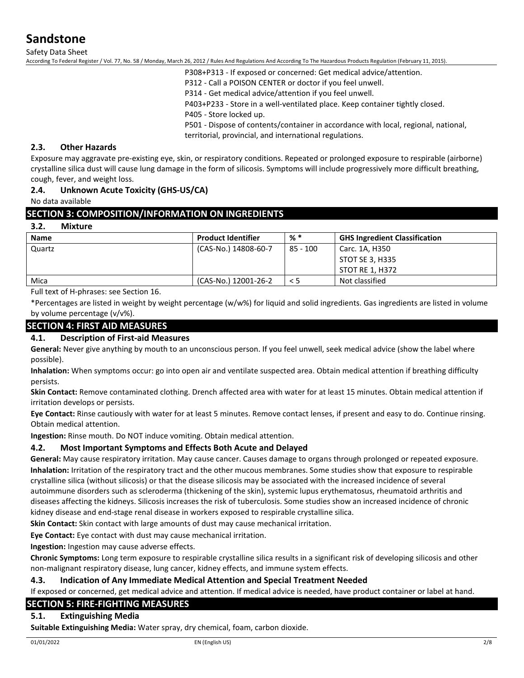Safety Data Sheet

According To Federal Register / Vol. 77, No. 58 / Monday, March 26, 2012 / Rules And Regulations And According To The Hazardous Products Regulation (February 11, 2015).

P308+P313 - If exposed or concerned: Get medical advice/attention.

P312 - Call a POISON CENTER or doctor if you feel unwell.

P314 - Get medical advice/attention if you feel unwell.

P403+P233 - Store in a well-ventilated place. Keep container tightly closed.

P405 - Store locked up.

P501 - Dispose of contents/container in accordance with local, regional, national, territorial, provincial, and international regulations.

### **2.3. Other Hazards**

Exposure may aggravate pre-existing eye, skin, or respiratory conditions. Repeated or prolonged exposure to respirable (airborne) crystalline silica dust will cause lung damage in the form of silicosis. Symptoms will include progressively more difficult breathing, cough, fever, and weight loss.

### **2.4. Unknown Acute Toxicity (GHS-US/CA)**

No data available

### **SECTION 3: COMPOSITION/INFORMATION ON INGREDIENTS**

#### **3.2. Mixture**

| <b>Name</b> | <b>Product Identifier</b> | % *        | <b>GHS Ingredient Classification</b> |
|-------------|---------------------------|------------|--------------------------------------|
| Quartz      | (CAS-No.) 14808-60-7      | $85 - 100$ | Carc. 1A, H350                       |
|             |                           |            | STOT SE 3, H335                      |
|             |                           |            | STOT RE 1, H372                      |
| Mica        | (CAS-No.) 12001-26-2      | $\leq$ 5   | Not classified                       |

Full text of H-phrases: see Section 16.

\*Percentages are listed in weight by weight percentage (w/w%) for liquid and solid ingredients. Gas ingredients are listed in volume by volume percentage (v/v%).

## **SECTION 4: FIRST AID MEASURES**

#### **4.1. Description of First-aid Measures**

**General:** Never give anything by mouth to an unconscious person. If you feel unwell, seek medical advice (show the label where possible).

**Inhalation:** When symptoms occur: go into open air and ventilate suspected area. Obtain medical attention if breathing difficulty persists.

**Skin Contact:** Remove contaminated clothing. Drench affected area with water for at least 15 minutes. Obtain medical attention if irritation develops or persists.

**Eye Contact:** Rinse cautiously with water for at least 5 minutes. Remove contact lenses, if present and easy to do. Continue rinsing. Obtain medical attention.

**Ingestion:** Rinse mouth. Do NOT induce vomiting. Obtain medical attention.

#### **4.2. Most Important Symptoms and Effects Both Acute and Delayed**

**General:** May cause respiratory irritation. May cause cancer. Causes damage to organs through prolonged or repeated exposure. **Inhalation:** Irritation of the respiratory tract and the other mucous membranes. Some studies show that exposure to respirable crystalline silica (without silicosis) or that the disease silicosis may be associated with the increased incidence of several autoimmune disorders such as scleroderma (thickening of the skin), systemic lupus erythematosus, rheumatoid arthritis and diseases affecting the kidneys. Silicosis increases the risk of tuberculosis. Some studies show an increased incidence of chronic kidney disease and end-stage renal disease in workers exposed to respirable crystalline silica.

**Skin Contact:** Skin contact with large amounts of dust may cause mechanical irritation.

**Eye Contact:** Eye contact with dust may cause mechanical irritation.

**Ingestion:** Ingestion may cause adverse effects.

**Chronic Symptoms:** Long term exposure to respirable crystalline silica results in a significant risk of developing silicosis and other non-malignant respiratory disease, lung cancer, kidney effects, and immune system effects.

#### **4.3. Indication of Any Immediate Medical Attention and Special Treatment Needed**

If exposed or concerned, get medical advice and attention. If medical advice is needed, have product container or label at hand.

#### **SECTION 5: FIRE-FIGHTING MEASURES**

#### **5.1. Extinguishing Media**

**Suitable Extinguishing Media:** Water spray, dry chemical, foam, carbon dioxide.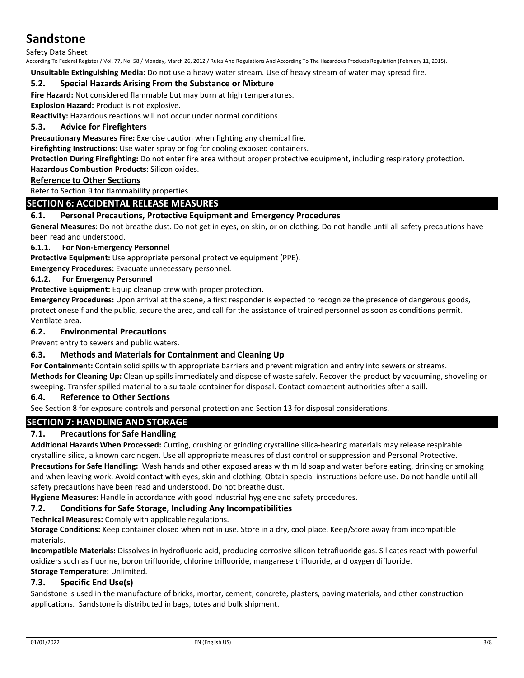Safety Data Sheet

According To Federal Register / Vol. 77, No. 58 / Monday, March 26, 2012 / Rules And Regulations And According To The Hazardous Products Regulation (February 11, 2015).

**Unsuitable Extinguishing Media:** Do not use a heavy water stream. Use of heavy stream of water may spread fire.

### **5.2. Special Hazards Arising From the Substance or Mixture**

**Fire Hazard:** Not considered flammable but may burn at high temperatures.

**Explosion Hazard:** Product is not explosive.

**Reactivity:** Hazardous reactions will not occur under normal conditions.

### **5.3. Advice for Firefighters**

**Precautionary Measures Fire:** Exercise caution when fighting any chemical fire.

**Firefighting Instructions:** Use water spray or fog for cooling exposed containers.

**Protection During Firefighting:** Do not enter fire area without proper protective equipment, including respiratory protection.

#### **Hazardous Combustion Products**: Silicon oxides.

#### **Reference to Other Sections**

Refer to Section 9 for flammability properties.

## **SECTION 6: ACCIDENTAL RELEASE MEASURES**

### **6.1. Personal Precautions, Protective Equipment and Emergency Procedures**

**General Measures:** Do not breathe dust. Do not get in eyes, on skin, or on clothing. Do not handle until all safety precautions have been read and understood.

#### **6.1.1. For Non-Emergency Personnel**

**Protective Equipment:** Use appropriate personal protective equipment (PPE).

**Emergency Procedures:** Evacuate unnecessary personnel.

#### **6.1.2. For Emergency Personnel**

**Protective Equipment:** Equip cleanup crew with proper protection.

**Emergency Procedures:** Upon arrival at the scene, a first responder is expected to recognize the presence of dangerous goods, protect oneself and the public, secure the area, and call for the assistance of trained personnel as soon as conditions permit. Ventilate area.

#### **6.2. Environmental Precautions**

Prevent entry to sewers and public waters.

#### **6.3. Methods and Materials for Containment and Cleaning Up**

**For Containment:** Contain solid spills with appropriate barriers and prevent migration and entry into sewers or streams. **Methods for Cleaning Up:** Clean up spills immediately and dispose of waste safely. Recover the product by vacuuming, shoveling or sweeping. Transfer spilled material to a suitable container for disposal. Contact competent authorities after a spill.

#### **6.4. Reference to Other Sections**

See Section 8 for exposure controls and personal protection and Section 13 for disposal considerations.

## **SECTION 7: HANDLING AND STORAGE**

#### **7.1. Precautions for Safe Handling**

**Additional Hazards When Processed:** Cutting, crushing or grinding crystalline silica-bearing materials may release respirable crystalline silica, a known carcinogen. Use all appropriate measures of dust control or suppression and Personal Protective. **Precautions for Safe Handling:** Wash hands and other exposed areas with mild soap and water before eating, drinking or smoking and when leaving work. Avoid contact with eyes, skin and clothing. Obtain special instructions before use. Do not handle until all safety precautions have been read and understood. Do not breathe dust.

**Hygiene Measures:** Handle in accordance with good industrial hygiene and safety procedures.

#### **7.2. Conditions for Safe Storage, Including Any Incompatibilities**

**Technical Measures:** Comply with applicable regulations.

**Storage Conditions:** Keep container closed when not in use. Store in a dry, cool place. Keep/Store away from incompatible materials.

**Incompatible Materials:** Dissolves in hydrofluoric acid, producing corrosive silicon tetrafluoride gas. Silicates react with powerful oxidizers such as fluorine, boron trifluoride, chlorine trifluoride, manganese trifluoride, and oxygen difluoride. **Storage Temperature:** Unlimited.

## **7.3. Specific End Use(s)**

Sandstone is used in the manufacture of bricks, mortar, cement, concrete, plasters, paving materials, and other construction applications. Sandstone is distributed in bags, totes and bulk shipment.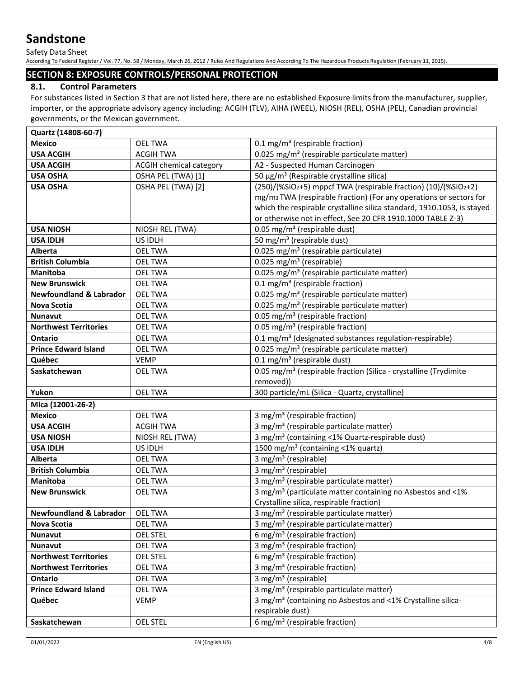Safety Data Sheet

According To Federal Register / Vol. 77, No. 58 / Monday, March 26, 2012 / Rules And Regulations And According To The Hazardous Products Regulation (February 11, 2015).

## **SECTION 8: EXPOSURE CONTROLS/PERSONAL PROTECTION**

## **8.1. Control Parameters**

For substances listed in Section 3 that are not listed here, there are no established Exposure limits from the manufacturer, supplier, importer, or the appropriate advisory agency including: ACGIH (TLV), AIHA (WEEL), NIOSH (REL), OSHA (PEL), Canadian provincial governments, or the Mexican government.

| Quartz (14808-60-7)                |                                |                                                                                |
|------------------------------------|--------------------------------|--------------------------------------------------------------------------------|
| <b>Mexico</b>                      | <b>OEL TWA</b>                 | 0.1 mg/m <sup>3</sup> (respirable fraction)                                    |
| <b>USA ACGIH</b>                   | <b>ACGIH TWA</b>               | 0.025 mg/m <sup>3</sup> (respirable particulate matter)                        |
| <b>USA ACGIH</b>                   | <b>ACGIH chemical category</b> | A2 - Suspected Human Carcinogen                                                |
| <b>USA OSHA</b>                    | OSHA PEL (TWA) [1]             | 50 μg/m <sup>3</sup> (Respirable crystalline silica)                           |
| <b>USA OSHA</b>                    | OSHA PEL (TWA) [2]             | (250)/(%SiO2+5) mppcf TWA (respirable fraction) (10)/(%SiO2+2)                 |
|                                    |                                | mg/m <sub>3</sub> TWA (respirable fraction) (For any operations or sectors for |
|                                    |                                | which the respirable crystalline silica standard, 1910.1053, is stayed         |
|                                    |                                | or otherwise not in effect, See 20 CFR 1910.1000 TABLE Z-3)                    |
| <b>USA NIOSH</b>                   | NIOSH REL (TWA)                | 0.05 mg/m <sup>3</sup> (respirable dust)                                       |
| <b>USA IDLH</b>                    | US IDLH                        | 50 mg/m <sup>3</sup> (respirable dust)                                         |
| Alberta                            | <b>OEL TWA</b>                 | 0.025 mg/m <sup>3</sup> (respirable particulate)                               |
| <b>British Columbia</b>            | <b>OEL TWA</b>                 | 0.025 mg/m <sup>3</sup> (respirable)                                           |
| <b>Manitoba</b>                    | <b>OEL TWA</b>                 | 0.025 mg/m <sup>3</sup> (respirable particulate matter)                        |
| <b>New Brunswick</b>               | <b>OEL TWA</b>                 | 0.1 mg/m <sup>3</sup> (respirable fraction)                                    |
| <b>Newfoundland &amp; Labrador</b> | <b>OEL TWA</b>                 | 0.025 mg/m <sup>3</sup> (respirable particulate matter)                        |
| Nova Scotia                        | <b>OEL TWA</b>                 | 0.025 mg/m <sup>3</sup> (respirable particulate matter)                        |
| <b>Nunavut</b>                     | <b>OEL TWA</b>                 | 0.05 mg/m <sup>3</sup> (respirable fraction)                                   |
| <b>Northwest Territories</b>       | <b>OEL TWA</b>                 | 0.05 mg/m <sup>3</sup> (respirable fraction)                                   |
| <b>Ontario</b>                     | <b>OEL TWA</b>                 | 0.1 mg/m <sup>3</sup> (designated substances regulation-respirable)            |
| <b>Prince Edward Island</b>        | <b>OEL TWA</b>                 | 0.025 mg/m <sup>3</sup> (respirable particulate matter)                        |
| Québec                             | <b>VEMP</b>                    | $0.1 \text{ mg/m}^3$ (respirable dust)                                         |
| Saskatchewan                       | <b>OEL TWA</b>                 | 0.05 mg/m <sup>3</sup> (respirable fraction (Silica - crystalline (Trydimite   |
|                                    |                                | removed))                                                                      |
| Yukon                              | <b>OEL TWA</b>                 | 300 particle/mL (Silica - Quartz, crystalline)                                 |
| Mica (12001-26-2)                  |                                |                                                                                |
| <b>Mexico</b>                      | <b>OEL TWA</b>                 | 3 mg/m <sup>3</sup> (respirable fraction)                                      |
| <b>USA ACGIH</b>                   | <b>ACGIH TWA</b>               | 3 mg/m <sup>3</sup> (respirable particulate matter)                            |
| <b>USA NIOSH</b>                   | NIOSH REL (TWA)                | 3 mg/m <sup>3</sup> (containing <1% Quartz-respirable dust)                    |
| <b>USA IDLH</b>                    | US IDLH                        | 1500 mg/m <sup>3</sup> (containing <1% quartz)                                 |
| Alberta                            | OEL TWA                        | 3 mg/m <sup>3</sup> (respirable)                                               |
| <b>British Columbia</b>            | <b>OEL TWA</b>                 | $3$ mg/m <sup>3</sup> (respirable)                                             |
| <b>Manitoba</b>                    | <b>OEL TWA</b>                 | 3 mg/m <sup>3</sup> (respirable particulate matter)                            |
| <b>New Brunswick</b>               | <b>OEL TWA</b>                 | 3 mg/m <sup>3</sup> (particulate matter containing no Asbestos and <1%         |
|                                    |                                | Crystalline silica, respirable fraction)                                       |
| Newfoundland & Labrador   OEL TWA  |                                | 3 mg/m <sup>3</sup> (respirable particulate matter)                            |
| Nova Scotia                        | OEL TWA                        | 3 mg/m <sup>3</sup> (respirable particulate matter)                            |
| <b>Nunavut</b>                     | <b>OEL STEL</b>                | 6 mg/m <sup>3</sup> (respirable fraction)                                      |
| <b>Nunavut</b>                     | OEL TWA                        | 3 mg/m <sup>3</sup> (respirable fraction)                                      |
| <b>Northwest Territories</b>       | OEL STEL                       | 6 mg/m <sup>3</sup> (respirable fraction)                                      |
| <b>Northwest Territories</b>       | <b>OEL TWA</b>                 | 3 mg/m <sup>3</sup> (respirable fraction)                                      |
| Ontario                            | <b>OEL TWA</b>                 | 3 mg/m <sup>3</sup> (respirable)                                               |
| <b>Prince Edward Island</b>        | <b>OEL TWA</b>                 | 3 mg/m <sup>3</sup> (respirable particulate matter)                            |
| Québec                             | <b>VEMP</b>                    | 3 mg/m <sup>3</sup> (containing no Asbestos and <1% Crystalline silica-        |
|                                    |                                | respirable dust)                                                               |
| Saskatchewan                       | <b>OEL STEL</b>                | 6 mg/m <sup>3</sup> (respirable fraction)                                      |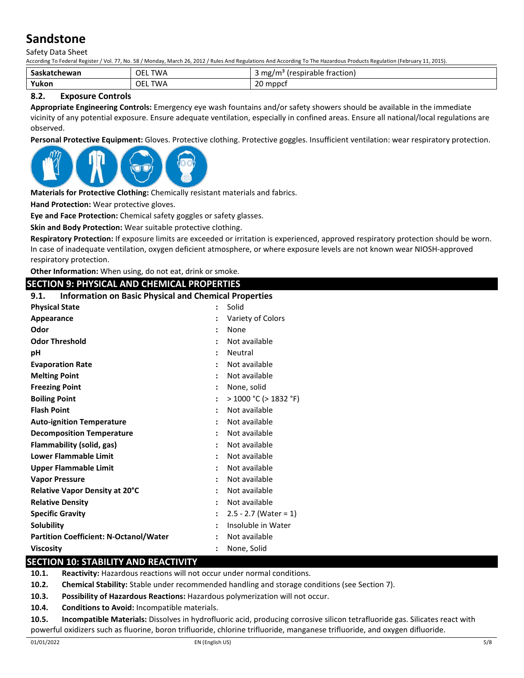Safety Data Sheet

According To Federal Register / Vol. 77, No. 58 / Monday, March 26, 2012 / Rules And Regulations And According To The Hazardous Products Regulation (February 11, 2015).

| Saskatchewan | OEL.<br><b>TWA</b>       | .<br>traction.<br>mg/<br>'m<br>(respirable |
|--------------|--------------------------|--------------------------------------------|
| Yukon        | <b>OEL</b><br><b>TWA</b> | 20<br>mppct) ا                             |

## **8.2. Exposure Controls**

**Appropriate Engineering Controls:** Emergency eye wash fountains and/or safety showers should be available in the immediate vicinity of any potential exposure. Ensure adequate ventilation, especially in confined areas. Ensure all national/local regulations are observed.

**Personal Protective Equipment:** Gloves. Protective clothing. Protective goggles. Insufficient ventilation: wear respiratory protection.



**Materials for Protective Clothing:** Chemically resistant materials and fabrics.

**Hand Protection:** Wear protective gloves.

**Eye and Face Protection:** Chemical safety goggles or safety glasses.

**Skin and Body Protection:** Wear suitable protective clothing.

**Respiratory Protection:** If exposure limits are exceeded or irritation is experienced, approved respiratory protection should be worn. In case of inadequate ventilation, oxygen deficient atmosphere, or where exposure levels are not known wear NIOSH-approved respiratory protection.

**Other Information:** When using, do not eat, drink or smoke.

## **SECTION 9: PHYSICAL AND CHEMICAL PROPERTIES**

**9.1. Information on Basic Physical and Chemical Properties**

| <b>Physical State</b>                         | $\ddot{\phantom{a}}$ | Solid                   |
|-----------------------------------------------|----------------------|-------------------------|
| Appearance                                    |                      | Variety of Colors       |
| Odor                                          | $\ddot{\cdot}$       | None                    |
| <b>Odor Threshold</b>                         |                      | Not available           |
| рH                                            | $\ddot{\phantom{a}}$ | Neutral                 |
| <b>Evaporation Rate</b>                       |                      | Not available           |
| <b>Melting Point</b>                          |                      | Not available           |
| <b>Freezing Point</b>                         | $\ddot{\phantom{a}}$ | None, solid             |
| <b>Boiling Point</b>                          | $\ddot{\phantom{a}}$ | > 1000 °C (> 1832 °F)   |
| <b>Flash Point</b>                            | $\ddot{\phantom{a}}$ | Not available           |
| <b>Auto-ignition Temperature</b>              |                      | Not available           |
| <b>Decomposition Temperature</b>              |                      | Not available           |
| Flammability (solid, gas)                     | $\ddot{\phantom{a}}$ | Not available           |
| <b>Lower Flammable Limit</b>                  |                      | Not available           |
| <b>Upper Flammable Limit</b>                  | $\ddot{\cdot}$       | Not available           |
| <b>Vapor Pressure</b>                         | ٠                    | Not available           |
| <b>Relative Vapor Density at 20°C</b>         |                      | Not available           |
| <b>Relative Density</b>                       | $\ddot{\phantom{a}}$ | Not available           |
| <b>Specific Gravity</b>                       | $\ddot{\phantom{a}}$ | $2.5 - 2.7$ (Water = 1) |
| <b>Solubility</b>                             | $\ddot{\phantom{a}}$ | Insoluble in Water      |
| <b>Partition Coefficient: N-Octanol/Water</b> | $\ddot{\cdot}$       | Not available           |
| <b>Viscosity</b>                              |                      | None, Solid             |

## **SECTION 10: STABILITY AND REACTIVITY**

**10.1. Reactivity:** Hazardous reactions will not occur under normal conditions.

**10.2. Chemical Stability:** Stable under recommended handling and storage conditions (see Section 7).

**10.3. Possibility of Hazardous Reactions:** Hazardous polymerization will not occur.

**10.4. Conditions to Avoid:** Incompatible materials.

**10.5. Incompatible Materials:** Dissolves in hydrofluoric acid, producing corrosive silicon tetrafluoride gas. Silicates react with powerful oxidizers such as fluorine, boron trifluoride, chlorine trifluoride, manganese trifluoride, and oxygen difluoride.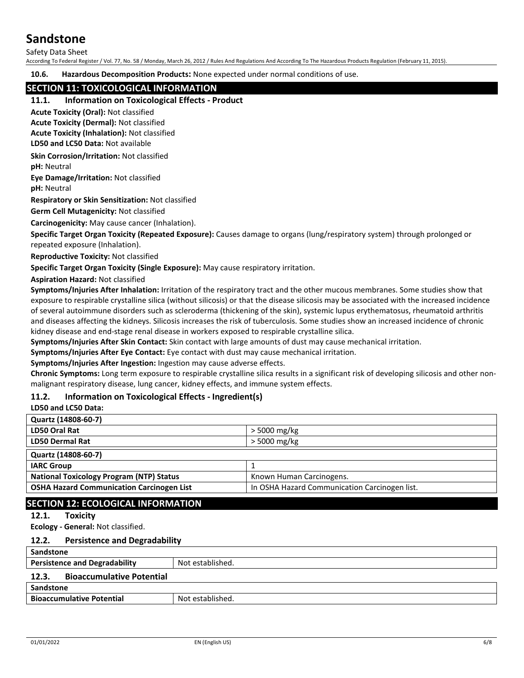Safety Data Sheet

According To Federal Register / Vol. 77, No. 58 / Monday, March 26, 2012 / Rules And Regulations And According To The Hazardous Products Regulation (February 11, 2015).

**10.6. Hazardous Decomposition Products:** None expected under normal conditions of use.

## **SECTION 11: TOXICOLOGICAL INFORMATION**

#### **11.1. Information on Toxicological Effects - Product**

**Acute Toxicity (Oral):** Not classified

**Acute Toxicity (Dermal):** Not classified

**Acute Toxicity (Inhalation):** Not classified

**LD50 and LC50 Data:** Not available

**Skin Corrosion/Irritation:** Not classified

**pH:** Neutral

**Eye Damage/Irritation:** Not classified

**pH:** Neutral

**Respiratory or Skin Sensitization:** Not classified

**Germ Cell Mutagenicity:** Not classified

**Carcinogenicity:** May cause cancer (Inhalation).

**Specific Target Organ Toxicity (Repeated Exposure):** Causes damage to organs (lung/respiratory system) through prolonged or repeated exposure (Inhalation).

**Reproductive Toxicity:** Not classified

**Specific Target Organ Toxicity (Single Exposure):** May cause respiratory irritation.

**Aspiration Hazard:** Not classified

**Symptoms/Injuries After Inhalation:** Irritation of the respiratory tract and the other mucous membranes. Some studies show that exposure to respirable crystalline silica (without silicosis) or that the disease silicosis may be associated with the increased incidence of several autoimmune disorders such as scleroderma (thickening of the skin), systemic lupus erythematosus, rheumatoid arthritis and diseases affecting the kidneys. Silicosis increases the risk of tuberculosis. Some studies show an increased incidence of chronic kidney disease and end-stage renal disease in workers exposed to respirable crystalline silica.

**Symptoms/Injuries After Skin Contact:** Skin contact with large amounts of dust may cause mechanical irritation.

**Symptoms/Injuries After Eye Contact:** Eye contact with dust may cause mechanical irritation.

**Symptoms/Injuries After Ingestion:** Ingestion may cause adverse effects.

**Chronic Symptoms:** Long term exposure to respirable crystalline silica results in a significant risk of developing silicosis and other nonmalignant respiratory disease, lung cancer, kidney effects, and immune system effects.

#### **11.2. Information on Toxicological Effects - Ingredient(s)**

## **LD50 and LC50 Data:**

| Quartz (14808-60-7)                              |                                               |
|--------------------------------------------------|-----------------------------------------------|
| LD50 Oral Rat                                    | > 5000 mg/kg                                  |
| <b>LD50 Dermal Rat</b>                           | > 5000 mg/kg                                  |
| Quartz (14808-60-7)                              |                                               |
| <b>IARC Group</b>                                |                                               |
| <b>National Toxicology Program (NTP) Status</b>  | Known Human Carcinogens.                      |
| <b>OSHA Hazard Communication Carcinogen List</b> | In OSHA Hazard Communication Carcinogen list. |
|                                                  |                                               |

## **SECTION 12: ECOLOGICAL INFORMATION**

#### **12.1. Toxicity**

**Ecology - General:** Not classified.

#### **12.2. Persistence and Degradability**

| Sandstone                                 |                  |
|-------------------------------------------|------------------|
| <b>Persistence and Degradability</b>      | Not established. |
| <b>Bioaccumulative Potential</b><br>12.3. |                  |
| Sandstone                                 |                  |
| <b>Bioaccumulative Potential</b>          | Not established. |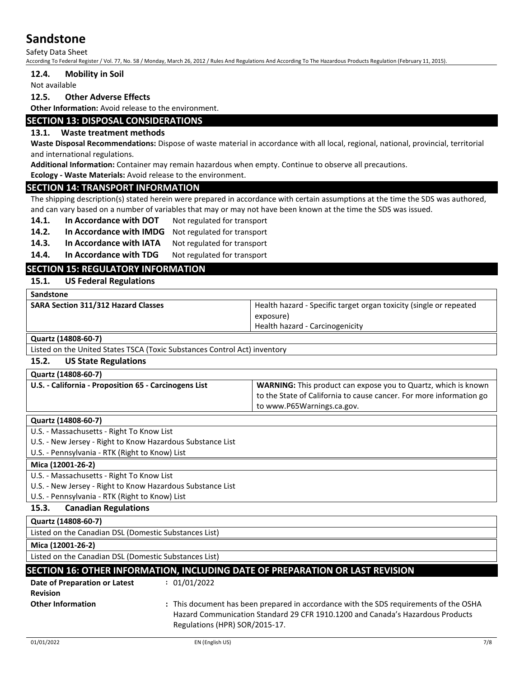Safety Data Sheet

According To Federal Register / Vol. 77, No. 58 / Monday, March 26, 2012 / Rules And Regulations And According To The Hazardous Products Regulation (February 11, 2015).

#### **12.4. Mobility in Soil**

Not available

#### **12.5. Other Adverse Effects**

**Other Information:** Avoid release to the environment.

#### **SECTION 13: DISPOSAL CONSIDERATIONS**

#### **13.1. Waste treatment methods**

**Waste Disposal Recommendations:** Dispose of waste material in accordance with all local, regional, national, provincial, territorial and international regulations.

**Additional Information:** Container may remain hazardous when empty. Continue to observe all precautions.

**Ecology - Waste Materials:** Avoid release to the environment.

#### **SECTION 14: TRANSPORT INFORMATION**

The shipping description(s) stated herein were prepared in accordance with certain assumptions at the time the SDS was authored, and can vary based on a number of variables that may or may not have been known at the time the SDS was issued.

14.1. In Accordance with DOT Not regulated for transport

**14.2. In Accordance with IMDG** Not regulated for transport

14.3. In Accordance with IATA Not regulated for transport

14.4. In Accordance with TDG Not regulated for transport

## **SECTION 15: REGULATORY INFORMATION**

#### **15.1. US Federal Regulations**

| <b>Sandstone</b>                           |                                                                    |
|--------------------------------------------|--------------------------------------------------------------------|
| <b>SARA Section 311/312 Hazard Classes</b> | Health hazard - Specific target organ toxicity (single or repeated |
|                                            | exposure)                                                          |
|                                            | Health hazard - Carcinogenicity                                    |

**Quartz (14808-60-7)**

Listed on the United States TSCA (Toxic Substances Control Act) inventory

## **15.2. US State Regulations**

| Quartz (14808-60-7)                                   |                                                                       |
|-------------------------------------------------------|-----------------------------------------------------------------------|
| U.S. - California - Proposition 65 - Carcinogens List | <b>WARNING:</b> This product can expose you to Quartz, which is known |
|                                                       | to the State of California to cause cancer. For more information go   |
|                                                       | to www.P65Warnings.ca.gov.                                            |
|                                                       |                                                                       |

#### **Quartz (14808-60-7)**

U.S. - Massachusetts - Right To Know List

U.S. - New Jersey - Right to Know Hazardous Substance List

U.S. - Pennsylvania - RTK (Right to Know) List

**Mica (12001-26-2)**

U.S. - Massachusetts - Right To Know List

U.S. - New Jersey - Right to Know Hazardous Substance List

U.S. - Pennsylvania - RTK (Right to Know) List

## **15.3. Canadian Regulations**

**Quartz (14808-60-7)**

Listed on the Canadian DSL (Domestic Substances List)

**Mica (12001-26-2)**

Listed on the Canadian DSL (Domestic Substances List)

## **SECTION 16: OTHER INFORMATION, INCLUDING DATE OF PREPARATION OR LAST REVISION**

| Date of Preparation or Latest | : 01/01/2022                                                                                                                                                                                              |
|-------------------------------|-----------------------------------------------------------------------------------------------------------------------------------------------------------------------------------------------------------|
| <b>Revision</b>               |                                                                                                                                                                                                           |
| <b>Other Information</b>      | : This document has been prepared in accordance with the SDS requirements of the OSHA<br>Hazard Communication Standard 29 CFR 1910.1200 and Canada's Hazardous Products<br>Regulations (HPR) SOR/2015-17. |